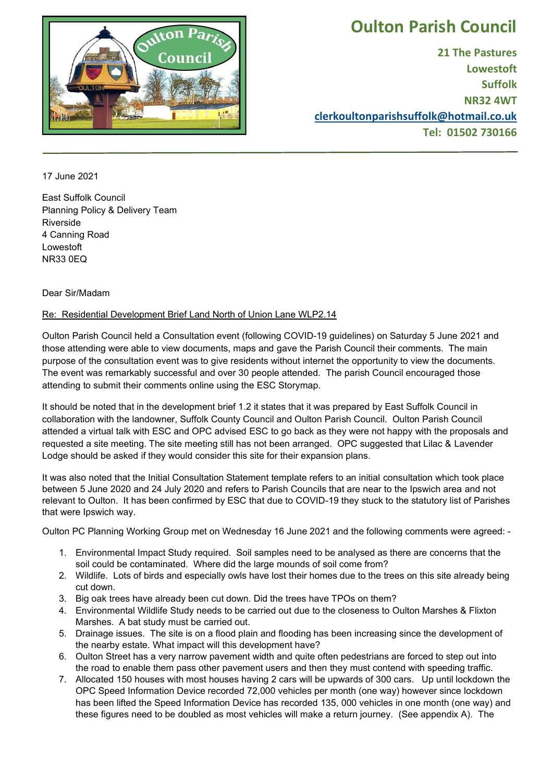

## **Oulton Parish Council**

**21 The Pastures Lowestoft Suffolk NR32 4WT [clerkoultonparishsuffolk@hotmail.co.uk](mailto:clerkoultonparishsuffolk@hotmail.co.uk) Tel: 01502 730166**

17 June 2021

East Suffolk Council Planning Policy & Delivery Team Riverside 4 Canning Road Lowestoft NR33 0EQ

## Dear Sir/Madam

## Re: Residential Development Brief Land North of Union Lane WLP2.14

Oulton Parish Council held a Consultation event (following COVID-19 guidelines) on Saturday 5 June 2021 and those attending were able to view documents, maps and gave the Parish Council their comments. The main purpose of the consultation event was to give residents without internet the opportunity to view the documents. The event was remarkably successful and over 30 people attended. The parish Council encouraged those attending to submit their comments online using the ESC Storymap.

It should be noted that in the development brief 1.2 it states that it was prepared by East Suffolk Council in collaboration with the landowner, Suffolk County Council and Oulton Parish Council. Oulton Parish Council attended a virtual talk with ESC and OPC advised ESC to go back as they were not happy with the proposals and requested a site meeting. The site meeting still has not been arranged. OPC suggested that Lilac & Lavender Lodge should be asked if they would consider this site for their expansion plans.

It was also noted that the Initial Consultation Statement template refers to an initial consultation which took place between 5 June 2020 and 24 July 2020 and refers to Parish Councils that are near to the Ipswich area and not relevant to Oulton. It has been confirmed by ESC that due to COVID-19 they stuck to the statutory list of Parishes that were Ipswich way.

Oulton PC Planning Working Group met on Wednesday 16 June 2021 and the following comments were agreed: -

- 1. Environmental Impact Study required. Soil samples need to be analysed as there are concerns that the soil could be contaminated. Where did the large mounds of soil come from?
- 2. Wildlife. Lots of birds and especially owls have lost their homes due to the trees on this site already being cut down.
- 3. Big oak trees have already been cut down. Did the trees have TPOs on them?
- 4. Environmental Wildlife Study needs to be carried out due to the closeness to Oulton Marshes & Flixton Marshes. A bat study must be carried out.
- 5. Drainage issues. The site is on a flood plain and flooding has been increasing since the development of the nearby estate. What impact will this development have?
- 6. Oulton Street has a very narrow pavement width and quite often pedestrians are forced to step out into the road to enable them pass other pavement users and then they must contend with speeding traffic.
- 7. Allocated 150 houses with most houses having 2 cars will be upwards of 300 cars. Up until lockdown the OPC Speed Information Device recorded 72,000 vehicles per month (one way) however since lockdown has been lifted the Speed Information Device has recorded 135, 000 vehicles in one month (one way) and these figures need to be doubled as most vehicles will make a return journey. (See appendix A). The